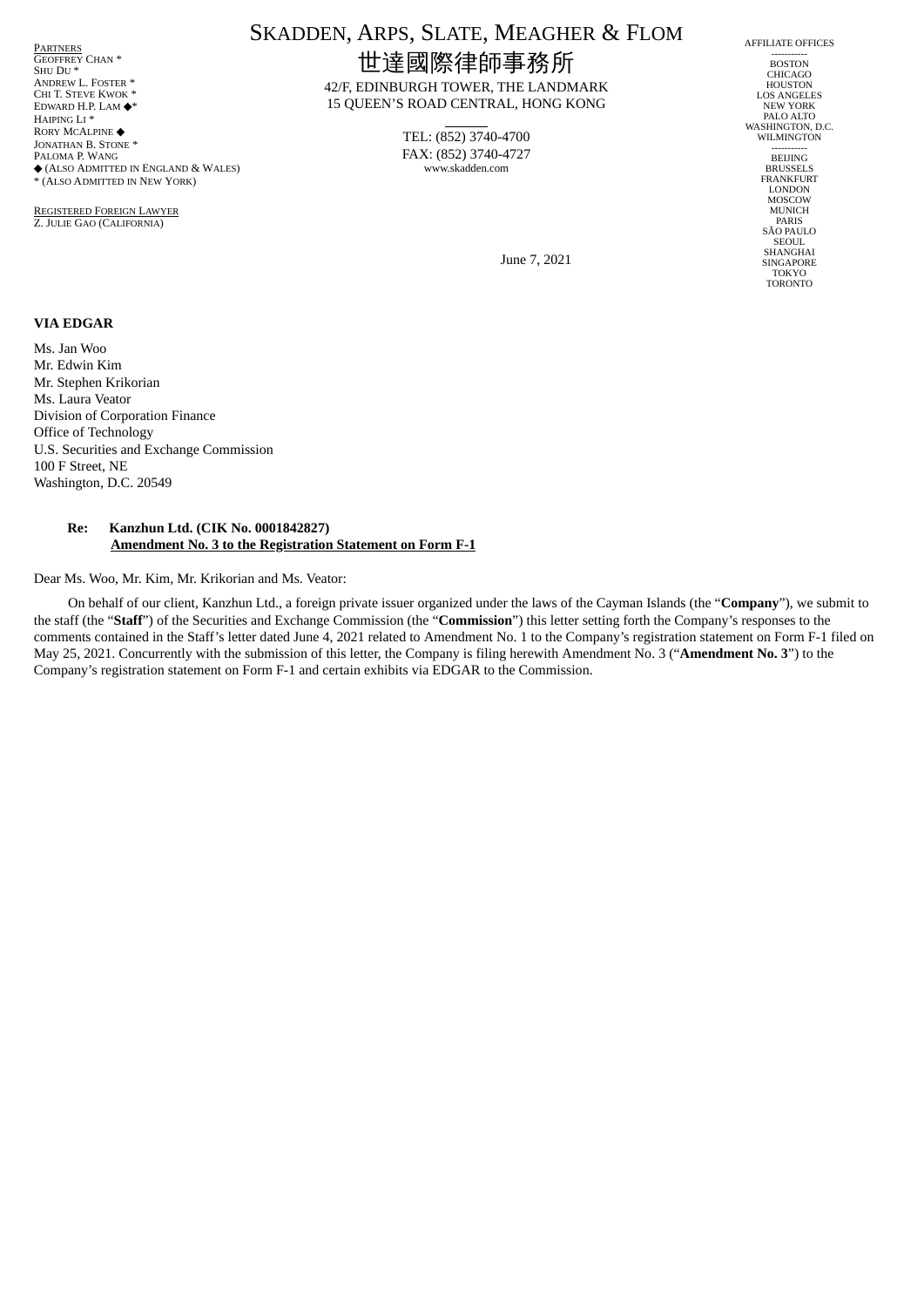<mark>Partners</mark><br>Geoffrey Chan \* SHU DU<sup>\*</sup> ANDREW L. FOSTER \* CHI T. STEVE KWOK ' EDWARD H.P. LAM ◆\* HAIPING LI \* RORY MCALPINE ◆ JONATHAN B. STONE<sup>\*</sup> PALOMA P. WANG ◆ (ALSO ADMITTED IN ENGLAND & WALES) \* (ALSO ADMITTED IN NEW YORK)

REGISTERED FOREIGN LAWYER Z. JULIE GAO (CALIFORNIA)

# SKADDEN, ARPS, SLATE, MEAGHER & FLOM 世達國際律師事務所

42/F, EDINBURGH TOWER, THE LANDMARK 15 QUEEN'S ROAD CENTRAL, HONG KONG

> TEL: (852) 3740-4700 FAX: (852) 3740-4727 www.skadden.com

AFFILIATE OFFICES ----------- BOSTON CHICAGO **HOUSTON** LOS ANGELES NEW YORK PALO ALTO WASHINGTON, D.C. WILMINGTON -----------<br>BEIJING **BRUSSELS** FRANKFURT LONDON MOSCOW MUNICH PARIS SÃO PAULO SEOUL. SHANGHAI **SINGAPORE** TOKYO TORONTO

June 7, 2021

#### **VIA EDGAR**

Ms. Jan Woo Mr. Edwin Kim Mr. Stephen Krikorian Ms. Laura Veator Division of Corporation Finance Office of Technology U.S. Securities and Exchange Commission 100 F Street, NE Washington, D.C. 20549

#### **Re: Kanzhun Ltd. (CIK No. 0001842827) Amendment No. 3 to the Registration Statement on Form F-1**

Dear Ms. Woo, Mr. Kim, Mr. Krikorian and Ms. Veator:

On behalf of our client, Kanzhun Ltd., a foreign private issuer organized under the laws of the Cayman Islands (the "**Company**"), we submit to the staff (the "**Staff**") of the Securities and Exchange Commission (the "**Commission**") this letter setting forth the Company's responses to the comments contained in the Staff's letter dated June 4, 2021 related to Amendment No. 1 to the Company's registration statement on Form F-1 filed on May 25, 2021. Concurrently with the submission of this letter, the Company is filing herewith Amendment No. 3 ("**Amendment No. 3**") to the Company's registration statement on Form F-1 and certain exhibits via EDGAR to the Commission.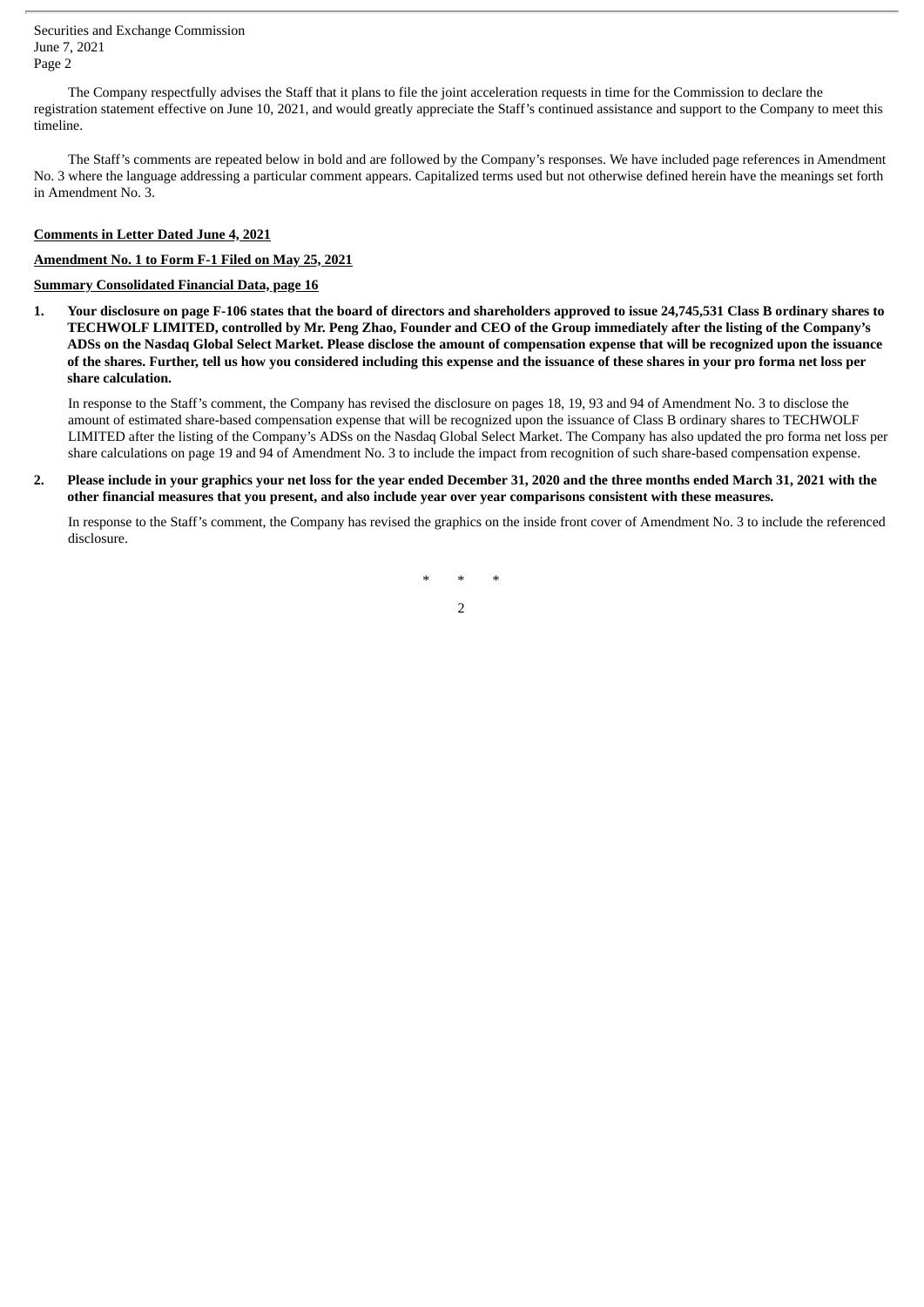Securities and Exchange Commission June 7, 2021 Page 2

The Company respectfully advises the Staff that it plans to file the joint acceleration requests in time for the Commission to declare the registration statement effective on June 10, 2021, and would greatly appreciate the Staff's continued assistance and support to the Company to meet this timeline.

The Staff's comments are repeated below in bold and are followed by the Company's responses. We have included page references in Amendment No. 3 where the language addressing a particular comment appears. Capitalized terms used but not otherwise defined herein have the meanings set forth in Amendment No. 3.

## **Comments in Letter Dated June 4, 2021**

## **Amendment No. 1 to Form F-1 Filed on May 25, 2021**

## **Summary Consolidated Financial Data, page 16**

1. Your disclosure on page F-106 states that the board of directors and shareholders approved to issue 24,745,531 Class B ordinary shares to TECHWOLF LIMITED, controlled by Mr. Peng Zhao, Founder and CEO of the Group immediately after the listing of the Company's ADSs on the Nasdaq Global Select Market. Please disclose the amount of compensation expense that will be recognized upon the issuance of the shares. Further, tell us how you considered including this expense and the issuance of these shares in your pro forma net loss per **share calculation.**

In response to the Staff's comment, the Company has revised the disclosure on pages 18, 19, 93 and 94 of Amendment No. 3 to disclose the amount of estimated share-based compensation expense that will be recognized upon the issuance of Class B ordinary shares to TECHWOLF LIMITED after the listing of the Company's ADSs on the Nasdaq Global Select Market. The Company has also updated the pro forma net loss per share calculations on page 19 and 94 of Amendment No. 3 to include the impact from recognition of such share-based compensation expense.

2. Please include in your graphics your net loss for the year ended December 31, 2020 and the three months ended March 31, 2021 with the other financial measures that you present, and also include year over year comparisons consistent with these measures.

In response to the Staff's comment, the Company has revised the graphics on the inside front cover of Amendment No. 3 to include the referenced disclosure.

\* \* \*

2